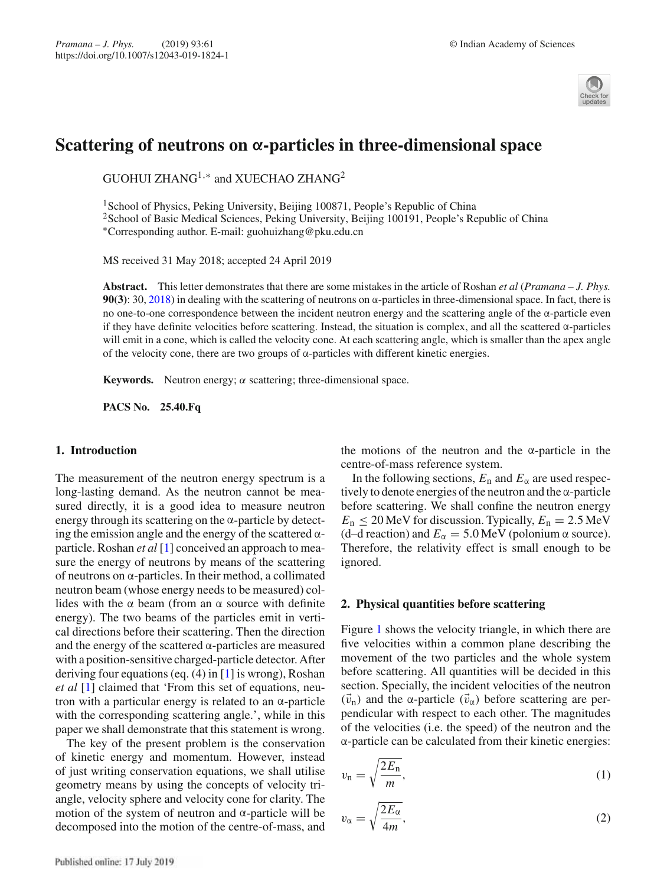

# **Scattering of neutrons on α-particles in three-dimensional space**

GUOHUI ZHANG<sup>1,\*</sup> and XUECHAO ZHANG<sup>2</sup>

<sup>1</sup> School of Physics, Peking University, Beijing 100871, People's Republic of China <sup>2</sup>School of Basic Medical Sciences, Peking University, Beijing 100191, People's Republic of China ∗Corresponding author. E-mail: guohuizhang@pku.edu.cn

MS received 31 May 2018; accepted 24 April 2019

**Abstract.** This letter demonstrates that there are some mistakes in the article of Roshan *et al* (*Pramana – J. Phys.* **90(3)**: 30, 2018) in dealing with the scattering of neutrons on  $\alpha$ -particles in three-dimensional space. In fact, there is no one-to-one correspondence between the incident neutron energy and the scattering angle of the α-particle even if they have definite velocities before scattering. Instead, the situation is complex, and all the scattered α-particles will emit in a cone, which is called the velocity cone. At each scattering angle, which is smaller than the apex angle of the velocity cone, there are two groups of α-particles with different kinetic energies.

**Keywords.** Neutron energy;  $\alpha$  scattering; three-dimensional space.

**PACS No. 25.40.Fq**

#### **1. Introduction**

The measurement of the neutron energy spectrum is a long-lasting demand. As the neutron cannot be measured directly, it is a good idea to measure neutron energy through its scattering on the  $\alpha$ -particle by detecting the emission angle and the energy of the scattered  $\alpha$ particle. Roshan *et al* [1] conceived an approach to measure the energy of neutrons by means of the scattering of neutrons on α-particles. In their method, a collimated neutron beam (whose energy needs to be measured) collides with the  $\alpha$  beam (from an  $\alpha$  source with definite energy). The two beams of the particles emit in vertical directions before their scattering. Then the direction and the energy of the scattered  $\alpha$ -particles are measured with a position-sensitive charged-particle detector. After deriving four equations (eq. (4) in [1] is wrong), Roshan *et al* [1] claimed that 'From this set of equations, neutron with a particular energy is related to an  $\alpha$ -particle with the corresponding scattering angle.', while in this paper we shall demonstrate that this statement is wrong.

The key of the present problem is the conservation of kinetic energy and momentum. However, instead of just writing conservation equations, we shall utilise geometry means by using the concepts of velocity triangle, velocity sphere and velocity cone for clarity. The motion of the system of neutron and  $\alpha$ -particle will be decomposed into the motion of the centre-of-mass, and the motions of the neutron and the  $\alpha$ -particle in the centre-of-mass reference system.

In the following sections,  $E_n$  and  $E_\alpha$  are used respectively to denote energies of the neutron and the  $\alpha$ -particle before scattering. We shall confine the neutron energy  $E_n \le 20$  MeV for discussion. Typically,  $E_n = 2.5$  MeV (d–d reaction) and  $E_\alpha = 5.0 \,\text{MeV}$  (polonium  $\alpha$  source). Therefore, the relativity effect is small enough to be ignored.

#### **2. Physical quantities before scattering**

Figure 1 shows the velocity triangle, in which there are five velocities within a common plane describing the movement of the two particles and the whole system before scattering. All quantities will be decided in this section. Specially, the incident velocities of the neutron  $(\vec{v}_n)$  and the α-particle  $(\vec{v}_\alpha)$  before scattering are perpendicular with respect to each other. The magnitudes of the velocities (i.e. the speed) of the neutron and the α-particle can be calculated from their kinetic energies:

$$
v_{\rm n} = \sqrt{\frac{2E_{\rm n}}{m}},\tag{1}
$$

$$
v_{\alpha} = \sqrt{\frac{2E_{\alpha}}{4m}},\tag{2}
$$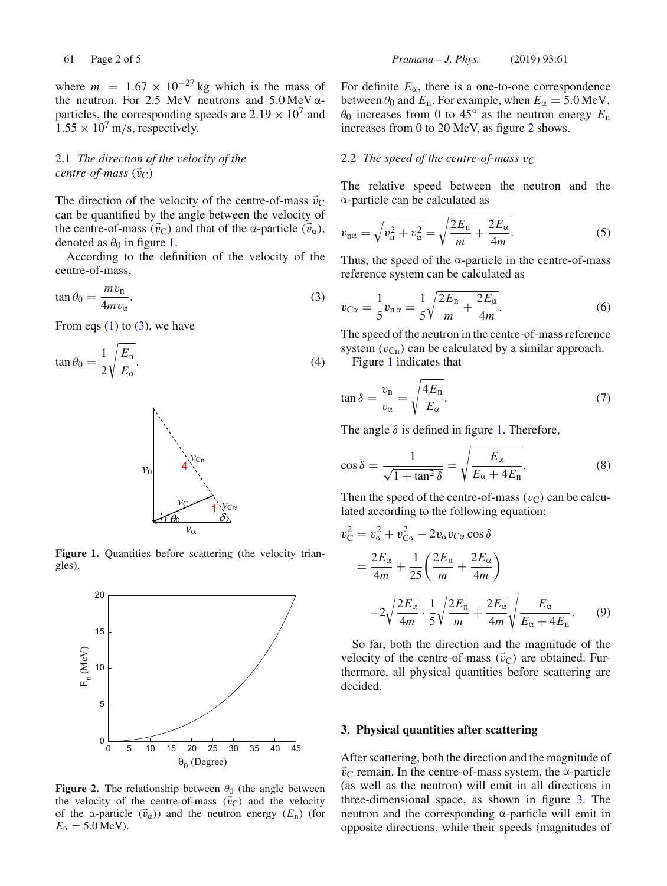where  $m = 1.67 \times 10^{-27}$  kg which is the mass of the neutron. For 2.5 MeV neutrons and  $5.0 \,\text{MeV}$   $\alpha$ particles, the corresponding speeds are  $2.19 \times 10^7$  and  $1.55 \times 10^7$  m/s, respectively.

# 2.1 *The direction of the velocity of the centre-of-mass*  $(\vec{v}_C)$

The direction of the velocity of the centre-of-mass  $\vec{v}_C$ can be quantified by the angle between the velocity of the centre-of-mass ( $\vec{v}_C$ ) and that of the α-particle ( $\vec{v}_\alpha$ ), denoted as  $\theta_0$  in figure 1.

According to the definition of the velocity of the centre-of-mass,

$$
\tan \theta_0 = \frac{m v_\text{n}}{4m v_\alpha}.\tag{3}
$$

From eqs  $(1)$  to  $(3)$ , we have

$$
\tan \theta_0 = \frac{1}{2} \sqrt{\frac{E_\mathrm{n}}{E_\alpha}}.
$$
\n(4)



Figure 1. Quantities before scattering (the velocity triangles).



**Figure 2.** The relationship between  $\theta_0$  (the angle between the velocity of the centre-of-mass  $(\vec{v}_C)$  and the velocity of the  $\alpha$ -particle  $(\vec{v}_\alpha)$  and the neutron energy  $(E_n)$  (for  $E_{\alpha} = 5.0 \,\text{MeV}$ ).

For definite  $E_\alpha$ , there is a one-to-one correspondence between  $\theta_0$  and  $E_n$ . For example, when  $E_\alpha = 5.0 \,\text{MeV}$ ,  $\theta_0$  increases from 0 to 45<sup>°</sup> as the neutron energy  $E_n$ increases from 0 to 20 MeV, as figure 2 shows.

### 2.2 *The speed of the centre-of-mass v<sup>C</sup>*

The relative speed between the neutron and the α-particle can be calculated as

$$
v_{\rm n\alpha} = \sqrt{v_{\rm n}^2 + v_{\alpha}^2} = \sqrt{\frac{2E_{\rm n}}{m} + \frac{2E_{\alpha}}{4m}}.\tag{5}
$$

Thus, the speed of the  $\alpha$ -particle in the centre-of-mass reference system can be calculated as

$$
v_{\text{C}\alpha} = \frac{1}{5}v_{\text{n}\alpha} = \frac{1}{5}\sqrt{\frac{2E_{\text{n}}}{m} + \frac{2E_{\alpha}}{4m}}.
$$
 (6)

The speed of the neutron in the centre-of-mass reference system  $(v_{\text{Cn}})$  can be calculated by a similar approach.

Figure 1 indicates that

$$
\tan \delta = \frac{v_{\rm n}}{v_{\alpha}} = \sqrt{\frac{4E_{\rm n}}{E_{\alpha}}}.
$$
\n(7)

The angle  $\delta$  is defined in figure 1. Therefore,

$$
\cos \delta = \frac{1}{\sqrt{1 + \tan^2 \delta}} = \sqrt{\frac{E_{\alpha}}{E_{\alpha} + 4E_{\alpha}}}.
$$
 (8)

Then the speed of the centre-of-mass  $(v<sub>C</sub>)$  can be calculated according to the following equation:

$$
v_{\rm C}^2 = v_{\alpha}^2 + v_{\rm C\alpha}^2 - 2v_{\alpha}v_{\rm C\alpha}\cos\delta
$$
  
= 
$$
\frac{2E_{\alpha}}{4m} + \frac{1}{25}\left(\frac{2E_{\rm n}}{m} + \frac{2E_{\alpha}}{4m}\right)
$$
  

$$
-2\sqrt{\frac{2E_{\alpha}}{4m}} \cdot \frac{1}{5}\sqrt{\frac{2E_{\rm n}}{m} + \frac{2E_{\alpha}}{4m}}\sqrt{\frac{E_{\alpha}}{E_{\alpha} + 4E_{\rm n}}}.
$$
 (9)

So far, both the direction and the magnitude of the velocity of the centre-of-mass  $(\vec{v}_C)$  are obtained. Furthermore, all physical quantities before scattering are decided.

#### **3. Physical quantities after scattering**

After scattering, both the direction and the magnitude of  $\vec{v}_C$  remain. In the centre-of-mass system, the  $\alpha$ -particle (as well as the neutron) will emit in all directions in three-dimensional space, as shown in figure 3. The neutron and the corresponding α-particle will emit in opposite directions, while their speeds (magnitudes of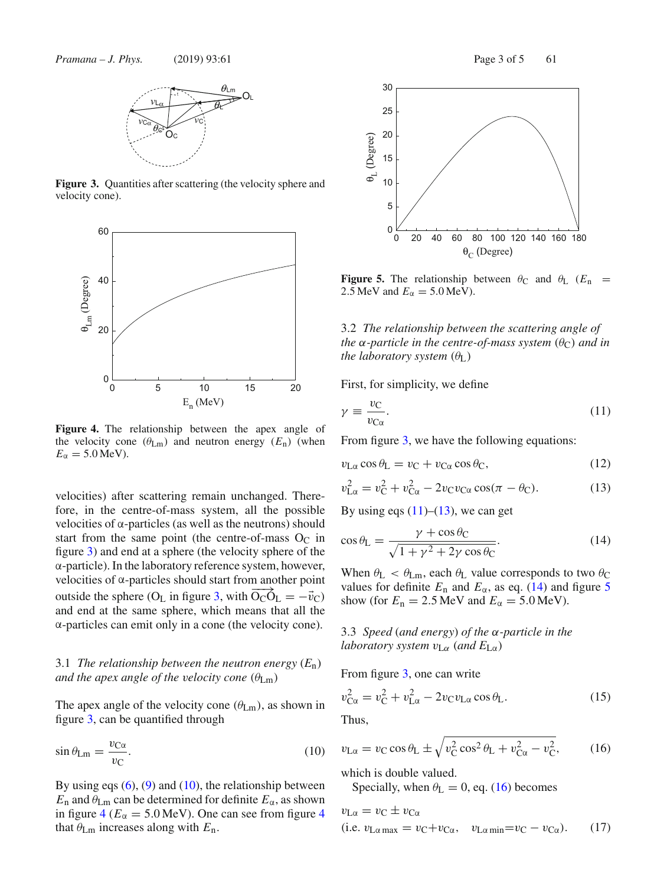

Figure 3. Quantities after scattering (the velocity sphere and velocity cone).



**Figure 4.** The relationship between the apex angle of the velocity cone  $(\theta_{\text{Lm}})$  and neutron energy  $(E_n)$  (when  $E_{\alpha} = 5.0 \,\text{MeV}$ ).

velocities) after scattering remain unchanged. Therefore, in the centre-of-mass system, all the possible velocities of α-particles (as well as the neutrons) should start from the same point (the centre-of-mass  $O<sub>C</sub>$  in figure 3) and end at a sphere (the velocity sphere of the α-particle). In the laboratory reference system, however, velocities of α-particles should start from another point outside the sphere (O<sub>L</sub> in figure 3, with  $\overrightarrow{O_C O_L} = -\vec{v}_C$ ) and end at the same sphere, which means that all the α-particles can emit only in a cone (the velocity cone).

## 3.1 *The relationship between the neutron energy*  $(E_n)$ *and the apex angle of the velocity cone*  $(\theta_{\text{Lm}})$

The apex angle of the velocity cone  $(\theta_{\text{Lm}})$ , as shown in figure 3, can be quantified through

$$
\sin \theta_{\text{Lm}} = \frac{v_{\text{C}\alpha}}{v_{\text{C}}}.
$$
\n(10)

By using eqs  $(6)$ ,  $(9)$  and  $(10)$ , the relationship between  $E_n$  and  $\theta_{\text{Lm}}$  can be determined for definite  $E_\alpha$ , as shown in figure  $4$  ( $E_\alpha = 5.0$  MeV). One can see from figure 4 that  $\theta_{\text{Lm}}$  increases along with  $E_n$ .



**Figure 5.** The relationship between  $\theta_C$  and  $\theta_L$  ( $E_n$  = 2.5 MeV and  $E_\alpha = 5.0$  MeV).

3.2 *The relationship between the scattering angle of the*  $\alpha$ *-particle in the centre-of-mass system*  $(\theta_C)$  *and in the laboratory system*  $(\theta_{\text{L}})$ 

First, for simplicity, we define

$$
\gamma \equiv \frac{v_C}{v_{C\alpha}}.\tag{11}
$$

From figure 3, we have the following equations:

$$
v_{\text{L}\alpha}\cos\theta_{\text{L}} = v_{\text{C}} + v_{\text{C}\alpha}\cos\theta_{\text{C}},\tag{12}
$$

$$
v_{\text{L}\alpha}^2 = v_{\text{C}}^2 + v_{\text{C}\alpha}^2 - 2v_{\text{C}}v_{\text{C}\alpha}\cos(\pi - \theta_{\text{C}}). \tag{13}
$$

By using eqs  $(11)$ – $(13)$ , we can get

$$
\cos \theta_{\rm L} = \frac{\gamma + \cos \theta_{\rm C}}{\sqrt{1 + \gamma^2 + 2\gamma \cos \theta_{\rm C}}}.
$$
\n(14)

When  $\theta_{\rm L} < \theta_{\rm Lm}$ , each  $\theta_{\rm L}$  value corresponds to two  $\theta_{\rm C}$ values for definite  $E_n$  and  $E_\alpha$ , as eq. (14) and figure 5 show (for  $E_n = 2.5$  MeV and  $E_\alpha = 5.0$  MeV).

3.3 *Speed* (*and energy*) *of the* α*-particle in the laboratory system v*L<sup>α</sup> (*and E*Lα)

From figure 3, one can write

$$
v_{\text{C}\alpha}^2 = v_{\text{C}}^2 + v_{\text{L}\alpha}^2 - 2v_{\text{C}}v_{\text{L}\alpha}\cos\theta_{\text{L}}.
$$
 (15)

I hus.

$$
v_{\text{L}\alpha} = v_{\text{C}} \cos \theta_{\text{L}} \pm \sqrt{v_{\text{C}}^2 \cos^2 \theta_{\text{L}} + v_{\text{C}\alpha}^2 - v_{\text{C}}^2},\tag{16}
$$

which is double valued.

Specially, when  $\theta_{\rm L} = 0$ , eq. (16) becomes

$$
v_{\text{L}\alpha} = v_{\text{C}} \pm v_{\text{C}\alpha}
$$
  
(i.e.  $v_{\text{L}\alpha \max} = v_{\text{C}} + v_{\text{C}\alpha}$ ,  $v_{\text{L}\alpha \min} = v_{\text{C}} - v_{\text{C}\alpha}$ ). (17)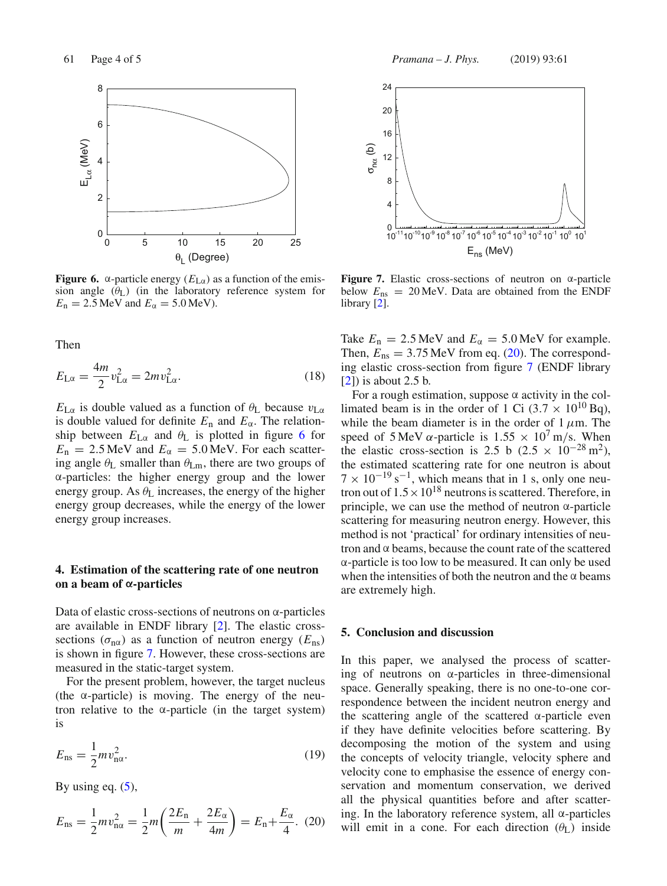

**Figure 6.** α-particle energy  $(E_{L\alpha})$  as a function of the emission angle  $(\theta_L)$  (in the laboratory reference system for  $E_n = 2.5$  MeV and  $E_\alpha = 5.0$  MeV).

Then

$$
E_{\text{L}\alpha} = \frac{4m}{2}v_{\text{L}\alpha}^2 = 2mv_{\text{L}\alpha}^2.
$$
 (18)

 $E_{\text{L}\alpha}$  is double valued as a function of  $\theta_{\text{L}}$  because  $v_{\text{L}\alpha}$ is double valued for definite  $E_n$  and  $E_\alpha$ . The relationship between  $E_{\text{L}\alpha}$  and  $\theta_{\text{L}}$  is plotted in figure 6 for  $E_n = 2.5$  MeV and  $E_\alpha = 5.0$  MeV. For each scattering angle  $\theta_L$  smaller than  $\theta_{Lm}$ , there are two groups of α-particles: the higher energy group and the lower energy group. As  $\theta_L$  increases, the energy of the higher energy group decreases, while the energy of the lower energy group increases.

### **4. Estimation of the scattering rate of one neutron on a beam of α-particles**

Data of elastic cross-sections of neutrons on α-particles are available in ENDF library [2]. The elastic crosssections ( $\sigma_{\text{na}}$ ) as a function of neutron energy ( $E_{\text{ns}}$ ) is shown in figure 7. However, these cross-sections are measured in the static-target system.

For the present problem, however, the target nucleus (the α-particle) is moving. The energy of the neutron relative to the  $\alpha$ -particle (in the target system) is

$$
E_{\rm ns} = \frac{1}{2} m v_{\rm n\alpha}^2. \tag{19}
$$

By using eq.  $(5)$ ,

$$
E_{\rm ns} = \frac{1}{2} m v_{\rm n\alpha}^2 = \frac{1}{2} m \left( \frac{2E_{\rm n}}{m} + \frac{2E_{\alpha}}{4m} \right) = E_{\rm n} + \frac{E_{\alpha}}{4}.
$$
 (20)



**Figure 7.** Elastic cross-sections of neutron on α-particle below  $E_{\text{ns}} = 20 \text{ MeV}$ . Data are obtained from the ENDF library [2].

Take  $E_n = 2.5 \text{ MeV}$  and  $E_\alpha = 5.0 \text{ MeV}$  for example. Then,  $E_{\text{ns}} = 3.75 \text{ MeV}$  from eq. (20). The corresponding elastic cross-section from figure 7 (ENDF library [2]) is about 2.5 b.

For a rough estimation, suppose  $\alpha$  activity in the collimated beam is in the order of 1 Ci  $(3.7 \times 10^{10}$  Bq), while the beam diameter is in the order of  $1 \mu$ m. The speed of 5 MeV  $\alpha$ -particle is 1.55  $\times$  10<sup>7</sup> m/s. When the elastic cross-section is 2.5 b (2.5  $\times$  10<sup>-28</sup> m<sup>2</sup>), the estimated scattering rate for one neutron is about  $7 \times 10^{-19}$  s<sup>-1</sup>, which means that in 1 s, only one neutron out of  $1.5 \times 10^{18}$  neutrons is scattered. Therefore, in principle, we can use the method of neutron  $\alpha$ -particle scattering for measuring neutron energy. However, this method is not 'practical' for ordinary intensities of neutron and  $\alpha$  beams, because the count rate of the scattered α-particle is too low to be measured. It can only be used when the intensities of both the neutron and the  $\alpha$  beams are extremely high.

#### **5. Conclusion and discussion**

In this paper, we analysed the process of scattering of neutrons on  $\alpha$ -particles in three-dimensional space. Generally speaking, there is no one-to-one correspondence between the incident neutron energy and the scattering angle of the scattered α-particle even if they have definite velocities before scattering. By decomposing the motion of the system and using the concepts of velocity triangle, velocity sphere and velocity cone to emphasise the essence of energy conservation and momentum conservation, we derived all the physical quantities before and after scattering. In the laboratory reference system, all  $\alpha$ -particles will emit in a cone. For each direction  $(\theta_L)$  inside